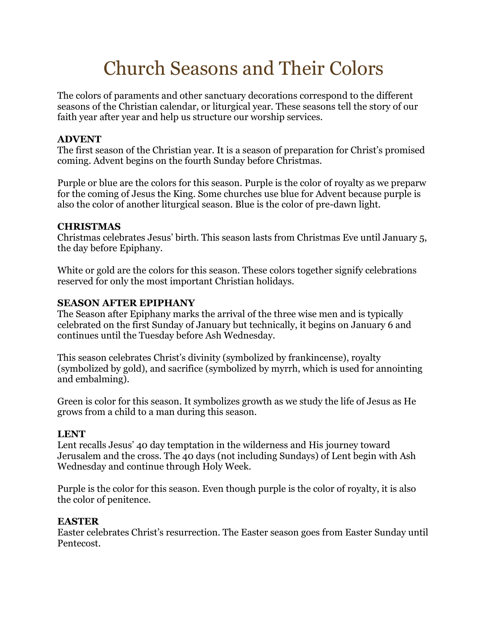# Church Seasons and Their Colors

The colors of paraments and other sanctuary decorations correspond to the different seasons of the Christian calendar, or liturgical year. These seasons tell the story of our faith year after year and help us structure our worship services.

## **ADVENT**

The first season of the Christian year. It is a season of preparation for Christ's promised coming. Advent begins on the fourth Sunday before Christmas.

Purple or blue are the colors for this season. Purple is the color of royalty as we preparw for the coming of Jesus the King. Some churches use blue for Advent because purple is also the color of another liturgical season. Blue is the color of pre-dawn light.

#### **CHRISTMAS**

Christmas celebrates Jesus' birth. This season lasts from Christmas Eve until January 5, the day before Epiphany.

White or gold are the colors for this season. These colors together signify celebrations reserved for only the most important Christian holidays.

## **SEASON AFTER EPIPHANY**

The Season after Epiphany marks the arrival of the three wise men and is typically celebrated on the first Sunday of January but technically, it begins on January 6 and continues until the Tuesday before Ash Wednesday.

This season celebrates Christ's divinity (symbolized by frankincense), royalty (symbolized by gold), and sacrifice (symbolized by myrrh, which is used for annointing and embalming).

Green is color for this season. It symbolizes growth as we study the life of Jesus as He grows from a child to a man during this season.

## **LENT**

Lent recalls Jesus' 40 day temptation in the wilderness and His journey toward Jerusalem and the cross. The 40 days (not including Sundays) of Lent begin with Ash Wednesday and continue through Holy Week.

Purple is the color for this season. Even though purple is the color of royalty, it is also the color of penitence.

## **EASTER**

Easter celebrates Christ's resurrection. The Easter season goes from Easter Sunday until Pentecost.